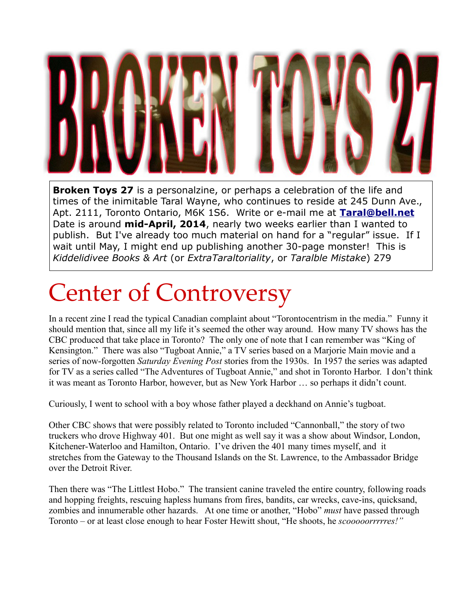

**Broken Toys 27** is a personalzine, or perhaps a celebration of the life and times of the inimitable Taral Wayne, who continues to reside at 245 Dunn Ave., Apt. 2111, Toronto Ontario, M6K 1S6. Write or e-mail me at **[Taral@bell.net](mailto:Taral@bell.net)** Date is around **mid-April, 2014**, nearly two weeks earlier than I wanted to publish. But I've already too much material on hand for a "regular" issue. If I wait until May, I might end up publishing another 30-page monster! This is *Kiddelidivee Books & Art* (or *ExtraTaraltoriality*, or *Taralble Mistake*) 279

## Center of Controversy

In a recent zine I read the typical Canadian complaint about "Torontocentrism in the media." Funny it should mention that, since all my life it's seemed the other way around. How many TV shows has the CBC produced that take place in Toronto? The only one of note that I can remember was "King of Kensington." There was also "Tugboat Annie," a TV series based on a Marjorie Main movie and a series of now-forgotten *Saturday Evening Post* stories from the 1930s. In 1957 the series was adapted for TV as a series called "The Adventures of Tugboat Annie," and shot in Toronto Harbor. I don't think it was meant as Toronto Harbor, however, but as New York Harbor … so perhaps it didn't count.

Curiously, I went to school with a boy whose father played a deckhand on Annie's tugboat.

Other CBC shows that were possibly related to Toronto included "Cannonball," the story of two truckers who drove Highway 401. But one might as well say it was a show about Windsor, London, Kitchener-Waterloo and Hamilton, Ontario. I've driven the 401 many times myself, and it stretches from the Gateway to the Thousand Islands on the St. Lawrence, to the Ambassador Bridge over the Detroit River.

Then there was "The Littlest Hobo." The transient canine traveled the entire country, following roads and hopping freights, rescuing hapless humans from fires, bandits, car wrecks, cave-ins, quicksand, zombies and innumerable other hazards. At one time or another, "Hobo" *must* have passed through Toronto – or at least close enough to hear Foster Hewitt shout, "He shoots, he *scooooorrrrres!"*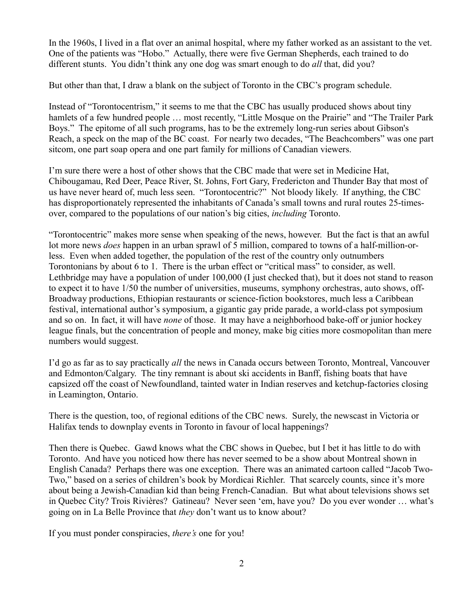In the 1960s, I lived in a flat over an animal hospital, where my father worked as an assistant to the vet. One of the patients was "Hobo." Actually, there were five German Shepherds, each trained to do different stunts. You didn't think any one dog was smart enough to do *all* that, did you?

But other than that, I draw a blank on the subject of Toronto in the CBC's program schedule.

Instead of "Torontocentrism," it seems to me that the CBC has usually produced shows about tiny hamlets of a few hundred people ... most recently, "Little Mosque on the Prairie" and "The Trailer Park Boys." The epitome of all such programs, has to be the extremely long-run series about Gibson's Reach, a speck on the map of the BC coast. For nearly two decades, "The Beachcombers" was one part sitcom, one part soap opera and one part family for millions of Canadian viewers.

I'm sure there were a host of other shows that the CBC made that were set in Medicine Hat, Chibougamau, Red Deer, Peace River, St. Johns, Fort Gary, Fredericton and Thunder Bay that most of us have never heard of, much less seen. "Torontocentric?" Not bloody likely. If anything, the CBC has disproportionately represented the inhabitants of Canada's small towns and rural routes 25-timesover, compared to the populations of our nation's big cities, *including* Toronto.

"Torontocentric" makes more sense when speaking of the news, however. But the fact is that an awful lot more news *does* happen in an urban sprawl of 5 million, compared to towns of a half-million-orless. Even when added together, the population of the rest of the country only outnumbers Torontonians by about 6 to 1. There is the urban effect or "critical mass" to consider, as well. Lethbridge may have a population of under 100,000 (I just checked that), but it does not stand to reason to expect it to have 1/50 the number of universities, museums, symphony orchestras, auto shows, off-Broadway productions, Ethiopian restaurants or science-fiction bookstores, much less a Caribbean festival, international author's symposium, a gigantic gay pride parade, a world-class pot symposium and so on. In fact, it will have *none* of those. It may have a neighborhood bake-off or junior hockey league finals, but the concentration of people and money, make big cities more cosmopolitan than mere numbers would suggest.

I'd go as far as to say practically *all* the news in Canada occurs between Toronto, Montreal, Vancouver and Edmonton/Calgary. The tiny remnant is about ski accidents in Banff, fishing boats that have capsized off the coast of Newfoundland, tainted water in Indian reserves and ketchup-factories closing in Leamington, Ontario.

There is the question, too, of regional editions of the CBC news. Surely, the newscast in Victoria or Halifax tends to downplay events in Toronto in favour of local happenings?

Then there is Quebec. Gawd knows what the CBC shows in Quebec, but I bet it has little to do with Toronto. And have you noticed how there has never seemed to be a show about Montreal shown in English Canada? Perhaps there was one exception. There was an animated cartoon called "Jacob Two-Two," based on a series of children's book by Mordicai Richler. That scarcely counts, since it's more about being a Jewish-Canadian kid than being French-Canadian. But what about televisions shows set in Quebec City? Trois Rivières? Gatineau? Never seen 'em, have you? Do you ever wonder … what's going on in La Belle Province that *they* don't want us to know about?

If you must ponder conspiracies, *there's* one for you!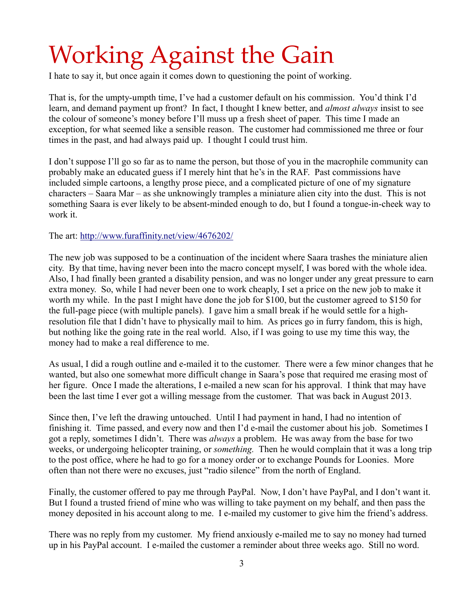## Working Against the Gain

I hate to say it, but once again it comes down to questioning the point of working.

That is, for the umpty-umpth time, I've had a customer default on his commission. You'd think I'd learn, and demand payment up front? In fact, I thought I knew better, and *almost always* insist to see the colour of someone's money before I'll muss up a fresh sheet of paper. This time I made an exception, for what seemed like a sensible reason. The customer had commissioned me three or four times in the past, and had always paid up. I thought I could trust him.

I don't suppose I'll go so far as to name the person, but those of you in the macrophile community can probably make an educated guess if I merely hint that he's in the RAF. Past commissions have included simple cartoons, a lengthy prose piece, and a complicated picture of one of my signature characters – Saara Mar – as she unknowingly tramples a miniature alien city into the dust. This is not something Saara is ever likely to be absent-minded enough to do, but I found a tongue-in-cheek way to work it.

The art:<http://www.furaffinity.net/view/4676202/>

The new job was supposed to be a continuation of the incident where Saara trashes the miniature alien city. By that time, having never been into the macro concept myself, I was bored with the whole idea. Also, I had finally been granted a disability pension, and was no longer under any great pressure to earn extra money. So, while I had never been one to work cheaply, I set a price on the new job to make it worth my while. In the past I might have done the job for \$100, but the customer agreed to \$150 for the full-page piece (with multiple panels). I gave him a small break if he would settle for a highresolution file that I didn't have to physically mail to him. As prices go in furry fandom, this is high, but nothing like the going rate in the real world. Also, if I was going to use my time this way, the money had to make a real difference to me.

As usual, I did a rough outline and e-mailed it to the customer. There were a few minor changes that he wanted, but also one somewhat more difficult change in Saara's pose that required me erasing most of her figure. Once I made the alterations, I e-mailed a new scan for his approval. I think that may have been the last time I ever got a willing message from the customer. That was back in August 2013.

Since then, I've left the drawing untouched. Until I had payment in hand, I had no intention of finishing it. Time passed, and every now and then I'd e-mail the customer about his job. Sometimes I got a reply, sometimes I didn't. There was *always* a problem. He was away from the base for two weeks, or undergoing helicopter training, or *something.* Then he would complain that it was a long trip to the post office, where he had to go for a money order or to exchange Pounds for Loonies. More often than not there were no excuses, just "radio silence" from the north of England.

Finally, the customer offered to pay me through PayPal. Now, I don't have PayPal, and I don't want it. But I found a trusted friend of mine who was willing to take payment on my behalf, and then pass the money deposited in his account along to me. I e-mailed my customer to give him the friend's address.

There was no reply from my customer. My friend anxiously e-mailed me to say no money had turned up in his PayPal account. I e-mailed the customer a reminder about three weeks ago. Still no word.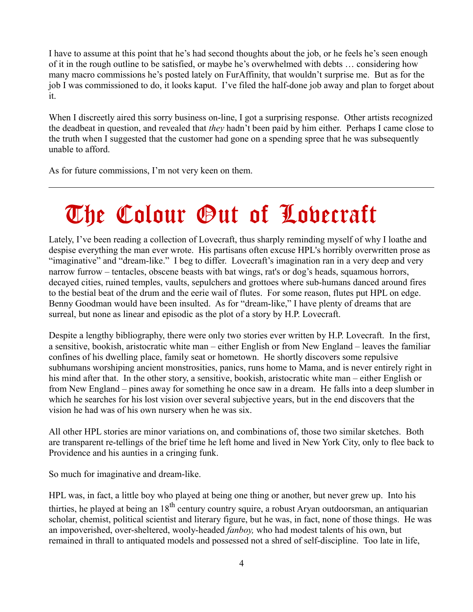I have to assume at this point that he's had second thoughts about the job, or he feels he's seen enough of it in the rough outline to be satisfied, or maybe he's overwhelmed with debts … considering how many macro commissions he's posted lately on FurAffinity, that wouldn't surprise me. But as for the job I was commissioned to do, it looks kaput. I've filed the half-done job away and plan to forget about it.

When I discreetly aired this sorry business on-line, I got a surprising response. Other artists recognized the deadbeat in question, and revealed that *they* hadn't been paid by him either. Perhaps I came close to the truth when I suggested that the customer had gone on a spending spree that he was subsequently unable to afford.

As for future commissions, I'm not very keen on them.

### The Colour Out of Lovecraft

Lately, I've been reading a collection of Lovecraft, thus sharply reminding myself of why I loathe and despise everything the man ever wrote. His partisans often excuse HPL's horribly overwritten prose as "imaginative" and "dream-like." I beg to differ. Lovecraft's imagination ran in a very deep and very narrow furrow – tentacles, obscene beasts with bat wings, rat's or dog's heads, squamous horrors, decayed cities, ruined temples, vaults, sepulchers and grottoes where sub-humans danced around fires to the bestial beat of the drum and the eerie wail of flutes. For some reason, flutes put HPL on edge. Benny Goodman would have been insulted. As for "dream-like," I have plenty of dreams that are surreal, but none as linear and episodic as the plot of a story by H.P. Lovecraft.

Despite a lengthy bibliography, there were only two stories ever written by H.P. Lovecraft. In the first, a sensitive, bookish, aristocratic white man – either English or from New England – leaves the familiar confines of his dwelling place, family seat or hometown. He shortly discovers some repulsive subhumans worshiping ancient monstrosities, panics, runs home to Mama, and is never entirely right in his mind after that. In the other story, a sensitive, bookish, aristocratic white man – either English or from New England – pines away for something he once saw in a dream. He falls into a deep slumber in which he searches for his lost vision over several subjective years, but in the end discovers that the vision he had was of his own nursery when he was six.

All other HPL stories are minor variations on, and combinations of, those two similar sketches. Both are transparent re-tellings of the brief time he left home and lived in New York City, only to flee back to Providence and his aunties in a cringing funk.

So much for imaginative and dream-like.

HPL was, in fact, a little boy who played at being one thing or another, but never grew up. Into his thirties, he played at being an 18<sup>th</sup> century country squire, a robust Aryan outdoorsman, an antiquarian scholar, chemist, political scientist and literary figure, but he was, in fact, none of those things. He was an impoverished, over-sheltered, wooly-headed *fanboy,* who had modest talents of his own, but remained in thrall to antiquated models and possessed not a shred of self-discipline. Too late in life,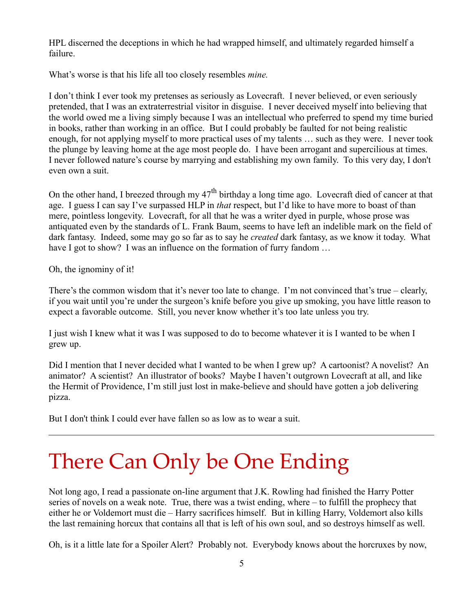HPL discerned the deceptions in which he had wrapped himself, and ultimately regarded himself a failure.

What's worse is that his life all too closely resembles *mine.*

I don't think I ever took my pretenses as seriously as Lovecraft. I never believed, or even seriously pretended, that I was an extraterrestrial visitor in disguise. I never deceived myself into believing that the world owed me a living simply because I was an intellectual who preferred to spend my time buried in books, rather than working in an office. But I could probably be faulted for not being realistic enough, for not applying myself to more practical uses of my talents … such as they were. I never took the plunge by leaving home at the age most people do. I have been arrogant and supercilious at times. I never followed nature's course by marrying and establishing my own family. To this very day, I don't even own a suit.

On the other hand, I breezed through my  $47<sup>th</sup>$  birthday a long time ago. Lovecraft died of cancer at that age. I guess I can say I've surpassed HLP in *that* respect, but I'd like to have more to boast of than mere, pointless longevity. Lovecraft, for all that he was a writer dyed in purple, whose prose was antiquated even by the standards of L. Frank Baum, seems to have left an indelible mark on the field of dark fantasy. Indeed, some may go so far as to say he *created* dark fantasy, as we know it today. What have I got to show? I was an influence on the formation of furry fandom ...

Oh, the ignominy of it!

There's the common wisdom that it's never too late to change. I'm not convinced that's true – clearly, if you wait until you're under the surgeon's knife before you give up smoking, you have little reason to expect a favorable outcome. Still, you never know whether it's too late unless you try.

I just wish I knew what it was I was supposed to do to become whatever it is I wanted to be when I grew up.

Did I mention that I never decided what I wanted to be when I grew up? A cartoonist? A novelist? An animator? A scientist? An illustrator of books? Maybe I haven't outgrown Lovecraft at all, and like the Hermit of Providence, I'm still just lost in make-believe and should have gotten a job delivering pizza.

But I don't think I could ever have fallen so as low as to wear a suit.

### There Can Only be One Ending

Not long ago, I read a passionate on-line argument that J.K. Rowling had finished the Harry Potter series of novels on a weak note. True, there was a twist ending, where – to fulfill the prophecy that either he or Voldemort must die – Harry sacrifices himself. But in killing Harry, Voldemort also kills the last remaining horcux that contains all that is left of his own soul, and so destroys himself as well.

Oh, is it a little late for a Spoiler Alert? Probably not. Everybody knows about the horcruxes by now,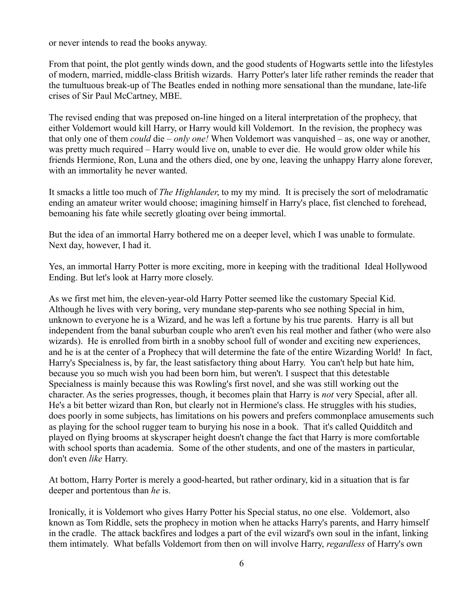or never intends to read the books anyway.

From that point, the plot gently winds down, and the good students of Hogwarts settle into the lifestyles of modern, married, middle-class British wizards. Harry Potter's later life rather reminds the reader that the tumultuous break-up of The Beatles ended in nothing more sensational than the mundane, late-life crises of Sir Paul McCartney, MBE.

The revised ending that was preposed on-line hinged on a literal interpretation of the prophecy, that either Voldemort would kill Harry, or Harry would kill Voldemort. In the revision, the prophecy was that only one of them *could* die – *only one!* When Voldemort was vanquished – as, one way or another, was pretty much required – Harry would live on, unable to ever die. He would grow older while his friends Hermione, Ron, Luna and the others died, one by one, leaving the unhappy Harry alone forever, with an immortality he never wanted.

It smacks a little too much of *The Highlander*, to my my mind. It is precisely the sort of melodramatic ending an amateur writer would choose; imagining himself in Harry's place, fist clenched to forehead, bemoaning his fate while secretly gloating over being immortal.

But the idea of an immortal Harry bothered me on a deeper level, which I was unable to formulate. Next day, however, I had it.

Yes, an immortal Harry Potter is more exciting, more in keeping with the traditional Ideal Hollywood Ending. But let's look at Harry more closely.

As we first met him, the eleven-year-old Harry Potter seemed like the customary Special Kid. Although he lives with very boring, very mundane step-parents who see nothing Special in him, unknown to everyone he is a Wizard, and he was left a fortune by his true parents. Harry is all but independent from the banal suburban couple who aren't even his real mother and father (who were also wizards). He is enrolled from birth in a snobby school full of wonder and exciting new experiences, and he is at the center of a Prophecy that will determine the fate of the entire Wizarding World! In fact, Harry's Specialness is, by far, the least satisfactory thing about Harry. You can't help but hate him, because you so much wish you had been born him, but weren't. I suspect that this detestable Specialness is mainly because this was Rowling's first novel, and she was still working out the character. As the series progresses, though, it becomes plain that Harry is *not* very Special, after all. He's a bit better wizard than Ron, but clearly not in Hermione's class. He struggles with his studies, does poorly in some subjects, has limitations on his powers and prefers commonplace amusements such as playing for the school rugger team to burying his nose in a book. That it's called Quidditch and played on flying brooms at skyscraper height doesn't change the fact that Harry is more comfortable with school sports than academia. Some of the other students, and one of the masters in particular, don't even *like* Harry.

At bottom, Harry Porter is merely a good-hearted, but rather ordinary, kid in a situation that is far deeper and portentous than *he* is.

Ironically, it is Voldemort who gives Harry Potter his Special status, no one else. Voldemort, also known as Tom Riddle, sets the prophecy in motion when he attacks Harry's parents, and Harry himself in the cradle. The attack backfires and lodges a part of the evil wizard's own soul in the infant, linking them intimately. What befalls Voldemort from then on will involve Harry, *regardless* of Harry's own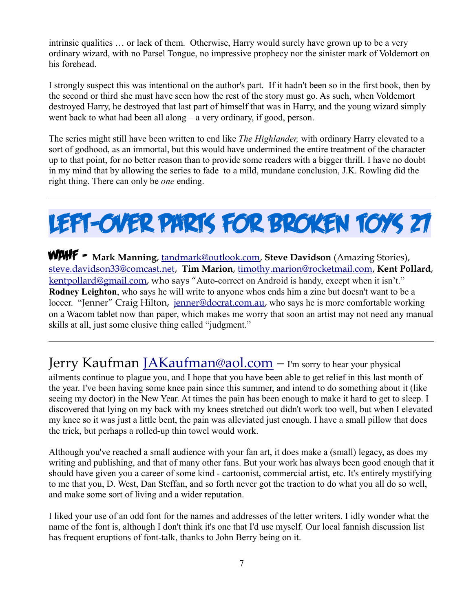intrinsic qualities … or lack of them. Otherwise, Harry would surely have grown up to be a very ordinary wizard, with no Parsel Tongue, no impressive prophecy nor the sinister mark of Voldemort on his forehead.

I strongly suspect this was intentional on the author's part. If it hadn't been so in the first book, then by the second or third she must have seen how the rest of the story must go. As such, when Voldemort destroyed Harry, he destroyed that last part of himself that was in Harry, and the young wizard simply went back to what had been all along – a very ordinary, if good, person.

The series might still have been written to end like *The Highlander,* with ordinary Harry elevated to a sort of godhood, as an immortal, but this would have undermined the entire treatment of the character up to that point, for no better reason than to provide some readers with a bigger thrill. I have no doubt in my mind that by allowing the series to fade to a mild, mundane conclusion, J.K. Rowling did the right thing. There can only be *one* ending.

LEFT-OVER PARTS FOR BROKEN TOYS 27

WAHF – **Mark Manning**, [tandmark@outlook.com,](mailto:tandmark@outlook.com) **Steve Davidson** (Amazing Stories), [steve.davidson33@comcast.net,](mailto:steve.davidson33@comcast.net) **Tim Marion**, [timothy.marion@rocketmail.com,](mailto:timothy.marion@rocketmail.com) **Kent Pollard**, [kentpollard@gmail.com,](mailto:kentpollard@gmail.com) who says "Auto-correct on Android is handy, except when it isn't." **Rodney Leighton**, who says he will write to anyone whos ends him a zine but doesn't want to be a loccer. "Jenner" Craig Hilton, [jenner@docrat.com.au,](mailto:jenner@docrat.com.au) who says he is more comfortable working on a Wacom tablet now than paper, which makes me worry that soon an artist may not need any manual skills at all, just some elusive thing called "judgment."

Jerry Kaufman [JAKaufman@aol.com](mailto:JAKaufman@aol.com) - I'm sorry to hear your physical

ailments continue to plague you, and I hope that you have been able to get relief in this last month of the year. I've been having some knee pain since this summer, and intend to do something about it (like seeing my doctor) in the New Year. At times the pain has been enough to make it hard to get to sleep. I discovered that lying on my back with my knees stretched out didn't work too well, but when I elevated my knee so it was just a little bent, the pain was alleviated just enough. I have a small pillow that does the trick, but perhaps a rolled-up thin towel would work.

Although you've reached a small audience with your fan art, it does make a (small) legacy, as does my writing and publishing, and that of many other fans. But your work has always been good enough that it should have given you a career of some kind - cartoonist, commercial artist, etc. It's entirely mystifying to me that you, D. West, Dan Steffan, and so forth never got the traction to do what you all do so well, and make some sort of living and a wider reputation.

I liked your use of an odd font for the names and addresses of the letter writers. I idly wonder what the name of the font is, although I don't think it's one that I'd use myself. Our local fannish discussion list has frequent eruptions of font-talk, thanks to John Berry being on it.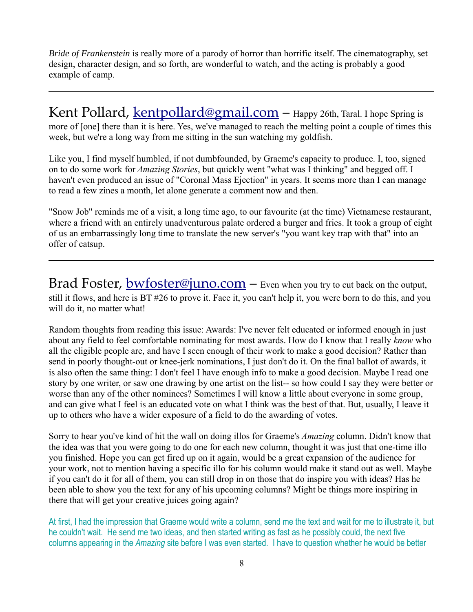*Bride of Frankenstein* is really more of a parody of horror than horrific itself. The cinematography, set design, character design, and so forth, are wonderful to watch, and the acting is probably a good example of camp.

Kent Pollard, [kentpollard@gmail.com](mailto:kentpollard@gmail.com) - Happy 26th, Taral. I hope Spring is more of [one] there than it is here. Yes, we've managed to reach the melting point a couple of times this week, but we're a long way from me sitting in the sun watching my goldfish.

Like you, I find myself humbled, if not dumbfounded, by Graeme's capacity to produce. I, too, signed on to do some work for *Amazing Stories*, but quickly went "what was I thinking" and begged off. I haven't even produced an issue of "Coronal Mass Ejection" in years. It seems more than I can manage to read a few zines a month, let alone generate a comment now and then.

"Snow Job" reminds me of a visit, a long time ago, to our favourite (at the time) Vietnamese restaurant, where a friend with an entirely unadventurous palate ordered a burger and fries. It took a group of eight of us an embarrassingly long time to translate the new server's "you want key trap with that" into an offer of catsup.

Brad Foster, **bwfoster@juno.com** – Even when you try to cut back on the output, still it flows, and here is BT #26 to prove it. Face it, you can't help it, you were born to do this, and you will do it, no matter what!

Random thoughts from reading this issue: Awards: I've never felt educated or informed enough in just about any field to feel comfortable nominating for most awards. How do I know that I really *know* who all the eligible people are, and have I seen enough of their work to make a good decision? Rather than send in poorly thought-out or knee-jerk nominations, I just don't do it. On the final ballot of awards, it is also often the same thing: I don't feel I have enough info to make a good decision. Maybe I read one story by one writer, or saw one drawing by one artist on the list-- so how could I say they were better or worse than any of the other nominees? Sometimes I will know a little about everyone in some group, and can give what I feel is an educated vote on what I think was the best of that. But, usually, I leave it up to others who have a wider exposure of a field to do the awarding of votes.

Sorry to hear you've kind of hit the wall on doing illos for Graeme's *Amazing* column. Didn't know that the idea was that you were going to do one for each new column, thought it was just that one-time illo you finished. Hope you can get fired up on it again, would be a great expansion of the audience for your work, not to mention having a specific illo for his column would make it stand out as well. Maybe if you can't do it for all of them, you can still drop in on those that do inspire you with ideas? Has he been able to show you the text for any of his upcoming columns? Might be things more inspiring in there that will get your creative juices going again?

At first, I had the impression that Graeme would write a column, send me the text and wait for me to illustrate it, but he couldn't wait. He send me two ideas, and then started writing as fast as he possibly could, the next five columns appearing in the *Amazing* site before I was even started. I have to question whether he would be better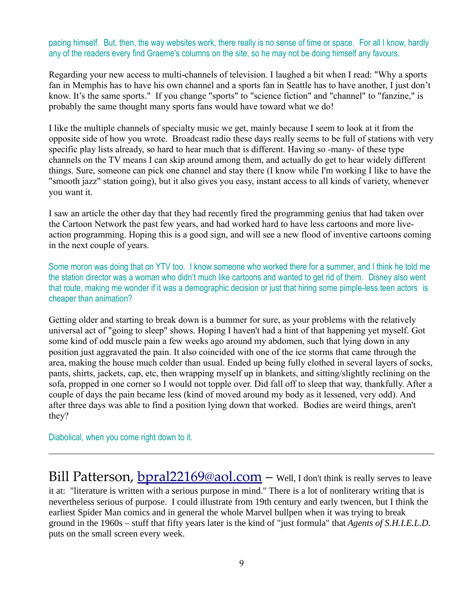pacing himself. But, then, the way websites work, there really is no sense of time or space. For all I know, hardly any of the readers every find Graeme's columns on the site, so he may not be doing himself any favours.

Regarding your new access to multi-channels of television. I laughed a bit when I read: "Why a sports fan in Memphis has to have his own channel and a sports fan in Seattle has to have another, I just don't know. It's the same sports." If you change "sports" to "science fiction" and "channel" to "fanzine," is probably the same thought many sports fans would have toward what we do!

I like the multiple channels of specialty music we get, mainly because I seem to look at it from the opposite side of how you wrote. Broadcast radio these days really seems to be full of stations with very specific play lists already, so hard to hear much that is different. Having so -many- of these type channels on the TV means I can skip around among them, and actually do get to hear widely different things. Sure, someone can pick one channel and stay there (I know while I'm working I like to have the "smooth jazz" station going), but it also gives you easy, instant access to all kinds of variety, whenever you want it.

I saw an article the other day that they had recently fired the programming genius that had taken over the Cartoon Network the past few years, and had worked hard to have less cartoons and more liveaction programming. Hoping this is a good sign, and will see a new flood of inventive cartoons coming in the next couple of years.

Some moron was doing that on YTV too. I know someone who worked there for a summer, and I think he told me the station director was a woman who didn't much like cartoons and wanted to get rid of them. Disney also went that route, making me wonder if it was a demographic decision or just that hiring some pimple-less teen actors is cheaper than animation?

Getting older and starting to break down is a bummer for sure, as your problems with the relatively universal act of "going to sleep" shows. Hoping I haven't had a hint of that happening yet myself. Got some kind of odd muscle pain a few weeks ago around my abdomen, such that lying down in any position just aggravated the pain. It also coincided with one of the ice storms that came through the area, making the house much colder than usual. Ended up being fully clothed in several layers of socks, pants, shirts, jackets, cap, etc, then wrapping myself up in blankets, and sitting/slightly reclining on the sofa, propped in one corner so I would not topple over. Did fall off to sleep that way, thankfully. After a couple of days the pain became less (kind of moved around my body as it lessened, very odd). And after three days was able to find a position lying down that worked. Bodies are weird things, aren't they?

Diabolical, when you come right down to it.

Bill Patterson, **bpral22169@aol.com** - Well, I don't think is really serves to leave it at: "literature is written with a serious purpose in mind." There is a lot of nonliterary writing that is nevertheless serious of purpose. I could illustrate from 19th century and early twencen, but I think the earliest Spider Man comics and in general the whole Marvel bullpen when it was trying to break ground in the 1960s – stuff that fifty years later is the kind of "just formula" that *Agents of S.H.I.E.L.D.* puts on the small screen every week.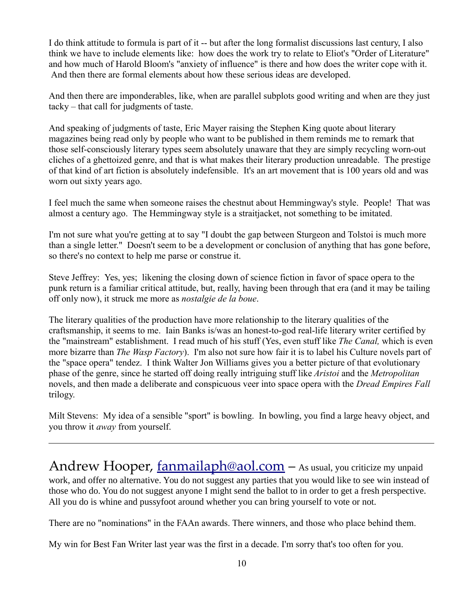I do think attitude to formula is part of it -- but after the long formalist discussions last century, I also think we have to include elements like: how does the work try to relate to Eliot's "Order of Literature" and how much of Harold Bloom's "anxiety of influence" is there and how does the writer cope with it. And then there are formal elements about how these serious ideas are developed.

And then there are imponderables, like, when are parallel subplots good writing and when are they just tacky – that call for judgments of taste.

And speaking of judgments of taste, Eric Mayer raising the Stephen King quote about literary magazines being read only by people who want to be published in them reminds me to remark that those self-consciously literary types seem absolutely unaware that they are simply recycling worn-out cliches of a ghettoized genre, and that is what makes their literary production unreadable. The prestige of that kind of art fiction is absolutely indefensible. It's an art movement that is 100 years old and was worn out sixty years ago.

I feel much the same when someone raises the chestnut about Hemmingway's style. People! That was almost a century ago. The Hemmingway style is a straitjacket, not something to be imitated.

I'm not sure what you're getting at to say "I doubt the gap between Sturgeon and Tolstoi is much more than a single letter." Doesn't seem to be a development or conclusion of anything that has gone before, so there's no context to help me parse or construe it.

Steve Jeffrey: Yes, yes; likening the closing down of science fiction in favor of space opera to the punk return is a familiar critical attitude, but, really, having been through that era (and it may be tailing off only now), it struck me more as *nostalgie de la boue*.

The literary qualities of the production have more relationship to the literary qualities of the craftsmanship, it seems to me. Iain Banks is/was an honest-to-god real-life literary writer certified by the "mainstream" establishment. I read much of his stuff (Yes, even stuff like *The Canal,* which is even more bizarre than *The Wasp Factory*). I'm also not sure how fair it is to label his Culture novels part of the "space opera" tendez. I think Walter Jon Williams gives you a better picture of that evolutionary phase of the genre, since he started off doing really intriguing stuff like *Aristoi* and the *Metropolitan* novels, and then made a deliberate and conspicuous veer into space opera with the *Dread Empires Fall* trilogy.

Milt Stevens: My idea of a sensible "sport" is bowling. In bowling, you find a large heavy object, and you throw it *away* from yourself.

Andrew Hooper, [fanmailaph@aol.com](mailto:fanmailaph@aol.com) - As usual, you criticize my unpaid work, and offer no alternative. You do not suggest any parties that you would like to see win instead of those who do. You do not suggest anyone I might send the ballot to in order to get a fresh perspective. All you do is whine and pussyfoot around whether you can bring yourself to vote or not.

There are no "nominations" in the FAAn awards. There winners, and those who place behind them.

My win for Best Fan Writer last year was the first in a decade. I'm sorry that's too often for you.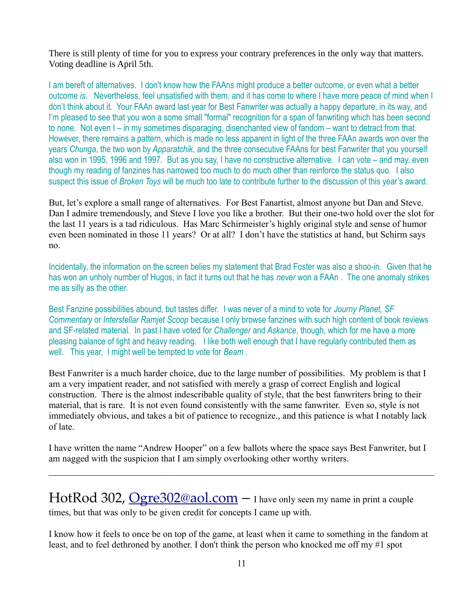There is still plenty of time for you to express your contrary preferences in the only way that matters. Voting deadline is April 5th.

I am bereft of alternatives. I don't know how the FAAns might produce a better outcome, or even what a better outcome *is*. Nevertheless, feel unsatisfied with them, and it has come to where I have more peace of mind when I don't think about it. Your FAAn award last year for Best Fanwriter was actually a happy departure, in its way, and I'm pleased to see that you won a some small "formal" recognition for a span of fanwriting which has been second to none. Not even I – in my sometimes disparaging, disenchanted view of fandom – want to detract from that. However, there remains a pattern, which is made no less apparent in light of the three FAAn awards won over the years *Chunga*, the two won by *Apparatchik*, and the three consecutive FAAns for best Fanwriter that you yourself also won in 1995, 1996 and 1997. But as you say, I have no constructive alternative. I can vote – and may, even though my reading of fanzines has narrowed too much to do much other than reinforce the status quo. I also suspect this issue of *Broken Toys* will be much too late to contribute further to the discussion of this year's award.

But, let's explore a small range of alternatives. For Best Fanartist, almost anyone but Dan and Steve. Dan I admire tremendously, and Steve I love you like a brother. But their one-two hold over the slot for the last 11 years is a tad ridiculous. Has Marc Schirmeister's highly original style and sense of humor even been nominated in those 11 years? Or at all? I don't have the statistics at hand, but Schirm says no.

Incidentally, the information on the screen belies my statement that Brad Foster was also a shoo-in. Given that he has won an unholy number of Hugos, in fact it turns out that he has *never* won a FAAn . The one anomaly strikes me as silly as the other.

Best Fanzine possibilities abound, but tastes differ. I was never of a mind to vote for *Journy Planet, SF Commentary* or *Interstellar Ramjet Scoop* because I only browse fanzines with such high content of book reviews and SF-related material. In past I have voted for *Challenger* and *Askance*, though, which for me have a more pleasing balance of light and heavy reading. I like both well enough that I have regularly contributed them as well. This year, I might well be tempted to vote for *Beam* .

Best Fanwriter is a much harder choice, due to the large number of possibilities. My problem is that I am a very impatient reader, and not satisfied with merely a grasp of correct English and logical construction. There is the almost indescribable quality of style, that the best fanwriters bring to their material, that is rare. It is not even found consistently with the same fanwriter. Even so, style is not immediately obvious, and takes a bit of patience to recognize., and this patience is what I notably lack of late.

I have written the name "Andrew Hooper" on a few ballots where the space says Best Fanwriter, but I am nagged with the suspicion that I am simply overlooking other worthy writers.

HotRod 302, [Ogre302@aol.com](mailto:Ogre302@aol.com) - I have only seen my name in print a couple times, but that was only to be given credit for concepts I came up with.

I know how it feels to once be on top of the game, at least when it came to something in the fandom at least, and to feel dethroned by another. I don't think the person who knocked me off my #1 spot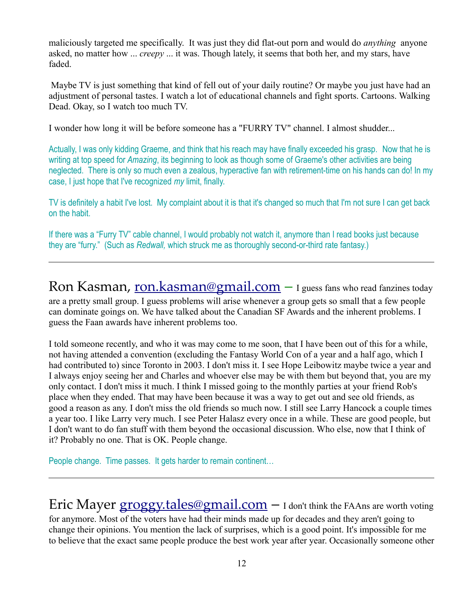maliciously targeted me specifically. It was just they did flat-out porn and would do *anything* anyone asked, no matter how ... *creepy* ... it was. Though lately, it seems that both her, and my stars, have faded.

Maybe TV is just something that kind of fell out of your daily routine? Or maybe you just have had an adjustment of personal tastes. I watch a lot of educational channels and fight sports. Cartoons. Walking Dead. Okay, so I watch too much TV.

I wonder how long it will be before someone has a "FURRY TV" channel. I almost shudder...

Actually, I was only kidding Graeme, and think that his reach may have finally exceeded his grasp. Now that he is writing at top speed for *Amazing*, its beginning to look as though some of Graeme's other activities are being neglected. There is only so much even a zealous, hyperactive fan with retirement-time on his hands can do! In my case, I just hope that I've recognized *my* limit, finally.

TV is definitely a habit I've lost. My complaint about it is that it's changed so much that I'm not sure I can get back on the habit.

If there was a "Furry TV" cable channel, I would probably not watch it, anymore than I read books just because they are "furry." (Such as *Redwall,* which struck me as thoroughly second-or-third rate fantasy.)

Ron Kasman, [ron.kasman@gmail.com](mailto:ron.kasman@gmail.com) – I guess fans who read fanzines today are a pretty small group. I guess problems will arise whenever a group gets so small that a few people can dominate goings on. We have talked about the Canadian SF Awards and the inherent problems. I guess the Faan awards have inherent problems too.

I told someone recently, and who it was may come to me soon, that I have been out of this for a while, not having attended a convention (excluding the Fantasy World Con of a year and a half ago, which I had contributed to) since Toronto in 2003. I don't miss it. I see Hope Leibowitz maybe twice a year and I always enjoy seeing her and Charles and whoever else may be with them but beyond that, you are my only contact. I don't miss it much. I think I missed going to the monthly parties at your friend Rob's place when they ended. That may have been because it was a way to get out and see old friends, as good a reason as any. I don't miss the old friends so much now. I still see Larry Hancock a couple times a year too. I like Larry very much. I see Peter Halasz every once in a while. These are good people, but I don't want to do fan stuff with them beyond the occasional discussion. Who else, now that I think of it? Probably no one. That is OK. People change.

People change. Time passes. It gets harder to remain continent…

Eric Mayer  $$ for anymore. Most of the voters have had their minds made up for decades and they aren't going to change their opinions. You mention the lack of surprises, which is a good point. It's impossible for me to believe that the exact same people produce the best work year after year. Occasionally someone other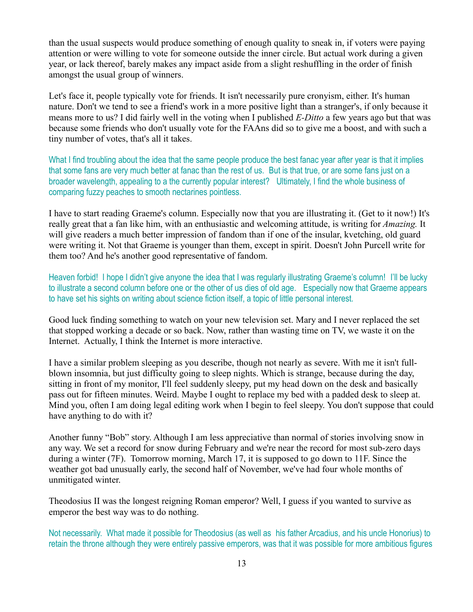than the usual suspects would produce something of enough quality to sneak in, if voters were paying attention or were willing to vote for someone outside the inner circle. But actual work during a given year, or lack thereof, barely makes any impact aside from a slight reshuffling in the order of finish amongst the usual group of winners.

Let's face it, people typically vote for friends. It isn't necessarily pure cronyism, either. It's human nature. Don't we tend to see a friend's work in a more positive light than a stranger's, if only because it means more to us? I did fairly well in the voting when I published *E-Ditto* a few years ago but that was because some friends who don't usually vote for the FAAns did so to give me a boost, and with such a tiny number of votes, that's all it takes.

What I find troubling about the idea that the same people produce the best fanac year after year is that it implies that some fans are very much better at fanac than the rest of us. But is that true, or are some fans just on a broader wavelength, appealing to a the currently popular interest? Ultimately, I find the whole business of comparing fuzzy peaches to smooth nectarines pointless.

I have to start reading Graeme's column. Especially now that you are illustrating it. (Get to it now!) It's really great that a fan like him, with an enthusiastic and welcoming attitude, is writing for *Amazing.* It will give readers a much better impression of fandom than if one of the insular, kvetching, old guard were writing it. Not that Graeme is younger than them, except in spirit. Doesn't John Purcell write for them too? And he's another good representative of fandom.

Heaven forbid! I hope I didn't give anyone the idea that I was regularly illustrating Graeme's column! I'll be lucky to illustrate a second column before one or the other of us dies of old age. Especially now that Graeme appears to have set his sights on writing about science fiction itself, a topic of little personal interest.

Good luck finding something to watch on your new television set. Mary and I never replaced the set that stopped working a decade or so back. Now, rather than wasting time on TV, we waste it on the Internet. Actually, I think the Internet is more interactive.

I have a similar problem sleeping as you describe, though not nearly as severe. With me it isn't fullblown insomnia, but just difficulty going to sleep nights. Which is strange, because during the day, sitting in front of my monitor, I'll feel suddenly sleepy, put my head down on the desk and basically pass out for fifteen minutes. Weird. Maybe I ought to replace my bed with a padded desk to sleep at. Mind you, often I am doing legal editing work when I begin to feel sleepy. You don't suppose that could have anything to do with it?

Another funny "Bob" story. Although I am less appreciative than normal of stories involving snow in any way. We set a record for snow during February and we're near the record for most sub-zero days during a winter (7F). Tomorrow morning, March 17, it is supposed to go down to 11F. Since the weather got bad unusually early, the second half of November, we've had four whole months of unmitigated winter.

Theodosius II was the longest reigning Roman emperor? Well, I guess if you wanted to survive as emperor the best way was to do nothing.

Not necessarily. What made it possible for Theodosius (as well as his father Arcadius, and his uncle Honorius) to retain the throne although they were entirely passive emperors, was that it was possible for more ambitious figures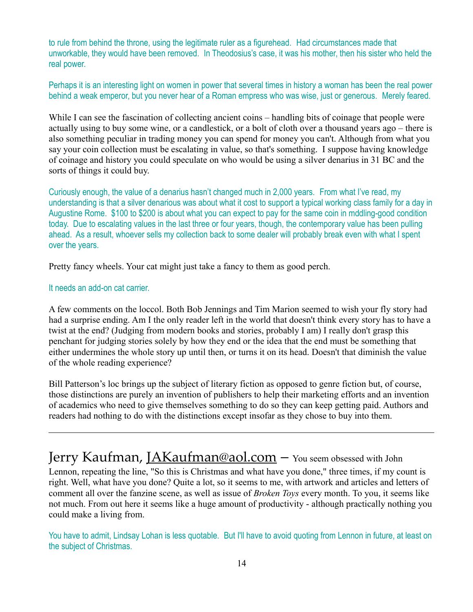to rule from behind the throne, using the legitimate ruler as a figurehead. Had circumstances made that unworkable, they would have been removed. In Theodosius's case, it was his mother, then his sister who held the real power.

Perhaps it is an interesting light on women in power that several times in history a woman has been the real power behind a weak emperor, but you never hear of a Roman empress who was wise, just or generous. Merely feared.

While I can see the fascination of collecting ancient coins – handling bits of coinage that people were actually using to buy some wine, or a candlestick, or a bolt of cloth over a thousand years ago – there is also something peculiar in trading money you can spend for money you can't. Although from what you say your coin collection must be escalating in value, so that's something. I suppose having knowledge of coinage and history you could speculate on who would be using a silver denarius in 31 BC and the sorts of things it could buy.

Curiously enough, the value of a denarius hasn't changed much in 2,000 years. From what I've read, my understanding is that a silver denarious was about what it cost to support a typical working class family for a day in Augustine Rome. \$100 to \$200 is about what you can expect to pay for the same coin in mddling-good condition today. Due to escalating values in the last three or four years, though, the contemporary value has been pulling ahead. As a result, whoever sells my collection back to some dealer will probably break even with what I spent over the years.

Pretty fancy wheels. Your cat might just take a fancy to them as good perch.

#### It needs an add-on cat carrier.

A few comments on the loccol. Both Bob Jennings and Tim Marion seemed to wish your fly story had had a surprise ending. Am I the only reader left in the world that doesn't think every story has to have a twist at the end? (Judging from modern books and stories, probably I am) I really don't grasp this penchant for judging stories solely by how they end or the idea that the end must be something that either undermines the whole story up until then, or turns it on its head. Doesn't that diminish the value of the whole reading experience?

Bill Patterson's loc brings up the subject of literary fiction as opposed to genre fiction but, of course, those distinctions are purely an invention of publishers to help their marketing efforts and an invention of academics who need to give themselves something to do so they can keep getting paid. Authors and readers had nothing to do with the distinctions except insofar as they chose to buy into them.

#### Jerry Kaufman, [JAKaufman@aol.com](mailto:JAKaufman@aol.com) - You seem obsessed with John

Lennon, repeating the line, "So this is Christmas and what have you done," three times, if my count is right. Well, what have you done? Quite a lot, so it seems to me, with artwork and articles and letters of comment all over the fanzine scene, as well as issue of *Broken Toys* every month. To you, it seems like not much. From out here it seems like a huge amount of productivity - although practically nothing you could make a living from.

You have to admit, Lindsay Lohan is less quotable. But I'll have to avoid quoting from Lennon in future, at least on the subject of Christmas.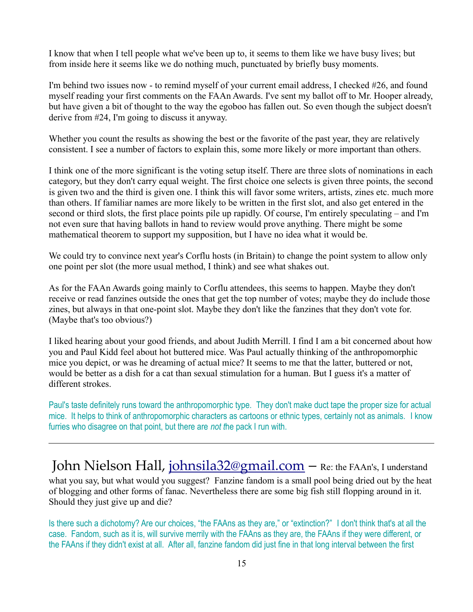I know that when I tell people what we've been up to, it seems to them like we have busy lives; but from inside here it seems like we do nothing much, punctuated by briefly busy moments.

I'm behind two issues now - to remind myself of your current email address, I checked #26, and found myself reading your first comments on the FAAn Awards. I've sent my ballot off to Mr. Hooper already, but have given a bit of thought to the way the egoboo has fallen out. So even though the subject doesn't derive from #24, I'm going to discuss it anyway.

Whether you count the results as showing the best or the favorite of the past year, they are relatively consistent. I see a number of factors to explain this, some more likely or more important than others.

I think one of the more significant is the voting setup itself. There are three slots of nominations in each category, but they don't carry equal weight. The first choice one selects is given three points, the second is given two and the third is given one. I think this will favor some writers, artists, zines etc. much more than others. If familiar names are more likely to be written in the first slot, and also get entered in the second or third slots, the first place points pile up rapidly. Of course, I'm entirely speculating – and I'm not even sure that having ballots in hand to review would prove anything. There might be some mathematical theorem to support my supposition, but I have no idea what it would be.

We could try to convince next year's Corflu hosts (in Britain) to change the point system to allow only one point per slot (the more usual method, I think) and see what shakes out.

As for the FAAn Awards going mainly to Corflu attendees, this seems to happen. Maybe they don't receive or read fanzines outside the ones that get the top number of votes; maybe they do include those zines, but always in that one-point slot. Maybe they don't like the fanzines that they don't vote for. (Maybe that's too obvious?)

I liked hearing about your good friends, and about Judith Merrill. I find I am a bit concerned about how you and Paul Kidd feel about hot buttered mice. Was Paul actually thinking of the anthropomorphic mice you depict, or was he dreaming of actual mice? It seems to me that the latter, buttered or not, would be better as a dish for a cat than sexual stimulation for a human. But I guess it's a matter of different strokes.

Paul's taste definitely runs toward the anthropomorphic type. They don't make duct tape the proper size for actual mice. It helps to think of anthropomorphic characters as cartoons or ethnic types, certainly not as animals. I know furries who disagree on that point, but there are *not t*he pack I run with.

John Nielson Hall, [johnsila32@gmail.com](mailto:johnsila32@gmail.com) - Re: the FAAn's, I understand what you say, but what would you suggest? Fanzine fandom is a small pool being dried out by the heat of blogging and other forms of fanac. Nevertheless there are some big fish still flopping around in it. Should they just give up and die?

Is there such a dichotomy? Are our choices, "the FAAns as they are," or "extinction?" I don't think that's at all the case. Fandom, such as it is, will survive merrily with the FAAns as they are, the FAAns if they were different, or the FAAns if they didn't exist at all. After all, fanzine fandom did just fine in that long interval between the first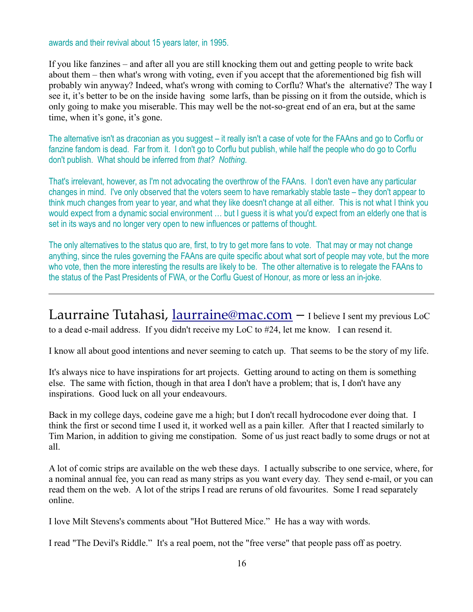awards and their revival about 15 years later, in 1995.

If you like fanzines – and after all you are still knocking them out and getting people to write back about them – then what's wrong with voting, even if you accept that the aforementioned big fish will probably win anyway? Indeed, what's wrong with coming to Corflu? What's the alternative? The way I see it, it's better to be on the inside having some larfs, than be pissing on it from the outside, which is only going to make you miserable. This may well be the not-so-great end of an era, but at the same time, when it's gone, it's gone.

The alternative isn't as draconian as you suggest – it really isn't a case of vote for the FAAns and go to Corflu or fanzine fandom is dead. Far from it. I don't go to Corflu but publish, while half the people who do go to Corflu don't publish. What should be inferred from *that? Nothing.*

That's irrelevant, however, as I'm not advocating the overthrow of the FAAns. I don't even have any particular changes in mind. I've only observed that the voters seem to have remarkably stable taste – they don't appear to think much changes from year to year, and what they like doesn't change at all either. This is not what I think you would expect from a dynamic social environment … but I guess it is what you'd expect from an elderly one that is set in its ways and no longer very open to new influences or patterns of thought.

The only alternatives to the status quo are, first, to try to get more fans to vote. That may or may not change anything, since the rules governing the FAAns are quite specific about what sort of people may vote, but the more who vote, then the more interesting the results are likely to be. The other alternative is to relegate the FAAns to the status of the Past Presidents of FWA, or the Corflu Guest of Honour, as more or less an in-joke.

Laurraine Tutahasi, [laurraine@mac.com](mailto:laurraine@mac.com) – I believe I sent my previous LoC to a dead e-mail address. If you didn't receive my LoC to #24, let me know. I can resend it.

I know all about good intentions and never seeming to catch up. That seems to be the story of my life.

It's always nice to have inspirations for art projects. Getting around to acting on them is something else. The same with fiction, though in that area I don't have a problem; that is, I don't have any inspirations. Good luck on all your endeavours.

Back in my college days, codeine gave me a high; but I don't recall hydrocodone ever doing that. I think the first or second time I used it, it worked well as a pain killer. After that I reacted similarly to Tim Marion, in addition to giving me constipation. Some of us just react badly to some drugs or not at all.

A lot of comic strips are available on the web these days. I actually subscribe to one service, where, for a nominal annual fee, you can read as many strips as you want every day. They send e-mail, or you can read them on the web. A lot of the strips I read are reruns of old favourites. Some I read separately online.

I love Milt Stevens's comments about "Hot Buttered Mice." He has a way with words.

I read "The Devil's Riddle." It's a real poem, not the "free verse" that people pass off as poetry.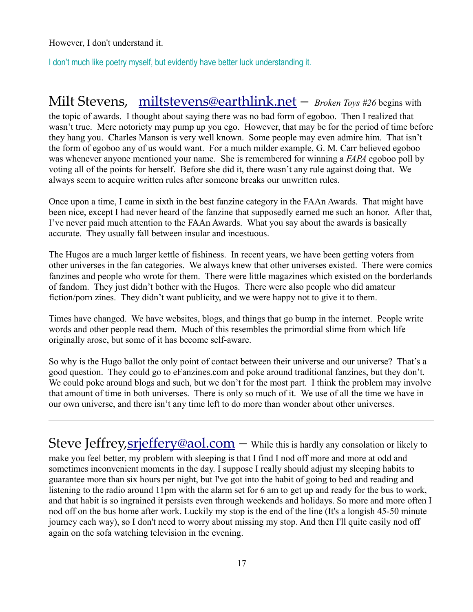However, I don't understand it.

I don't much like poetry myself, but evidently have better luck understanding it.

#### Milt Stevens, [miltstevens@earthlink.net](mailto:miltstevens@earthlink.net) – *Broken Toys #26* begins with

the topic of awards. I thought about saying there was no bad form of egoboo. Then I realized that wasn't true. Mere notoriety may pump up you ego. However, that may be for the period of time before they hang you. Charles Manson is very well known. Some people may even admire him. That isn't the form of egoboo any of us would want. For a much milder example, G. M. Carr believed egoboo was whenever anyone mentioned your name. She is remembered for winning a *FAPA* egoboo poll by voting all of the points for herself. Before she did it, there wasn't any rule against doing that. We always seem to acquire written rules after someone breaks our unwritten rules.

Once upon a time, I came in sixth in the best fanzine category in the FAAn Awards. That might have been nice, except I had never heard of the fanzine that supposedly earned me such an honor. After that, I've never paid much attention to the FAAn Awards. What you say about the awards is basically accurate. They usually fall between insular and incestuous.

The Hugos are a much larger kettle of fishiness. In recent years, we have been getting voters from other universes in the fan categories. We always knew that other universes existed. There were comics fanzines and people who wrote for them. There were little magazines which existed on the borderlands of fandom. They just didn't bother with the Hugos. There were also people who did amateur fiction/porn zines. They didn't want publicity, and we were happy not to give it to them.

Times have changed. We have websites, blogs, and things that go bump in the internet. People write words and other people read them. Much of this resembles the primordial slime from which life originally arose, but some of it has become self-aware.

So why is the Hugo ballot the only point of contact between their universe and our universe? That's a good question. They could go to eFanzines.com and poke around traditional fanzines, but they don't. We could poke around blogs and such, but we don't for the most part. I think the problem may involve that amount of time in both universes. There is only so much of it. We use of all the time we have in our own universe, and there isn't any time left to do more than wonder about other universes.

Steve Jeffrey, srjeffery@aol.com - While this is hardly any consolation or likely to make you feel better, my problem with sleeping is that I find I nod off more and more at odd and sometimes inconvenient moments in the day. I suppose I really should adjust my sleeping habits to guarantee more than six hours per night, but I've got into the habit of going to bed and reading and listening to the radio around 11pm with the alarm set for 6 am to get up and ready for the bus to work, and that habit is so ingrained it persists even through weekends and holidays. So more and more often I nod off on the bus home after work. Luckily my stop is the end of the line (It's a longish 45-50 minute journey each way), so I don't need to worry about missing my stop. And then I'll quite easily nod off again on the sofa watching television in the evening.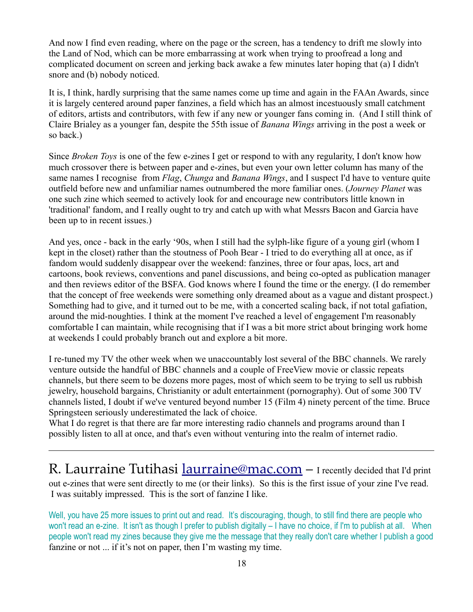And now I find even reading, where on the page or the screen, has a tendency to drift me slowly into the Land of Nod, which can be more embarrassing at work when trying to proofread a long and complicated document on screen and jerking back awake a few minutes later hoping that (a) I didn't snore and (b) nobody noticed.

It is, I think, hardly surprising that the same names come up time and again in the FAAn Awards, since it is largely centered around paper fanzines, a field which has an almost incestuously small catchment of editors, artists and contributors, with few if any new or younger fans coming in. (And I still think of Claire Brialey as a younger fan, despite the 55th issue of *Banana Wings* arriving in the post a week or so back.)

Since *Broken Toys* is one of the few e-zines I get or respond to with any regularity, I don't know how much crossover there is between paper and e-zines, but even your own letter column has many of the same names I recognise from *Flag*, *Chunga* and *Banana Wings*, and I suspect I'd have to venture quite outfield before new and unfamiliar names outnumbered the more familiar ones. (*Journey Planet* was one such zine which seemed to actively look for and encourage new contributors little known in 'traditional' fandom, and I really ought to try and catch up with what Messrs Bacon and Garcia have been up to in recent issues.)

And yes, once - back in the early '90s, when I still had the sylph-like figure of a young girl (whom I kept in the closet) rather than the stoutness of Pooh Bear - I tried to do everything all at once, as if fandom would suddenly disappear over the weekend: fanzines, three or four apas, locs, art and cartoons, book reviews, conventions and panel discussions, and being co-opted as publication manager and then reviews editor of the BSFA. God knows where I found the time or the energy. (I do remember that the concept of free weekends were something only dreamed about as a vague and distant prospect.) Something had to give, and it turned out to be me, with a concerted scaling back, if not total gafiation, around the mid-noughties. I think at the moment I've reached a level of engagement I'm reasonably comfortable I can maintain, while recognising that if I was a bit more strict about bringing work home at weekends I could probably branch out and explore a bit more.

I re-tuned my TV the other week when we unaccountably lost several of the BBC channels. We rarely venture outside the handful of BBC channels and a couple of FreeView movie or classic repeats channels, but there seem to be dozens more pages, most of which seem to be trying to sell us rubbish jewelry, household bargains, Christianity or adult entertainment (pornography). Out of some 300 TV channels listed, I doubt if we've ventured beyond number 15 (Film 4) ninety percent of the time. Bruce Springsteen seriously underestimated the lack of choice.

What I do regret is that there are far more interesting radio channels and programs around than I possibly listen to all at once, and that's even without venturing into the realm of internet radio.

R. Laurraine Tutihasi *laurraine@mac.com* - I recently decided that I'd print out e-zines that were sent directly to me (or their links). So this is the first issue of your zine I've read. I was suitably impressed. This is the sort of fanzine I like.

Well, you have 25 more issues to print out and read. It's discouraging, though, to still find there are people who won't read an e-zine. It isn't as though I prefer to publish digitally – I have no choice, if I'm to publish at all. When people won't read my zines because they give me the message that they really don't care whether I publish a good fanzine or not ... if it's not on paper, then I'm wasting my time.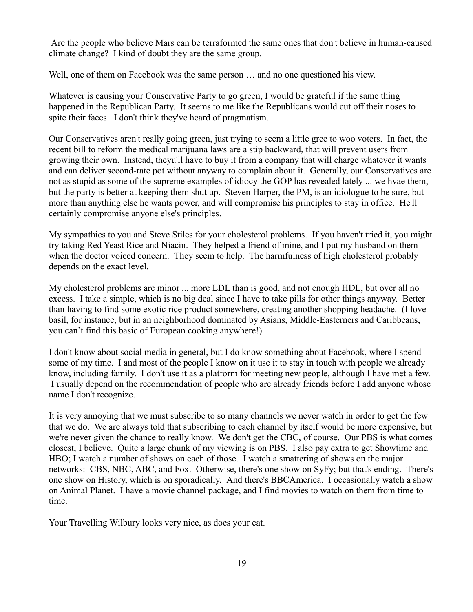Are the people who believe Mars can be terraformed the same ones that don't believe in human-caused climate change? I kind of doubt they are the same group.

Well, one of them on Facebook was the same person  $\ldots$  and no one questioned his view.

Whatever is causing your Conservative Party to go green, I would be grateful if the same thing happened in the Republican Party. It seems to me like the Republicans would cut off their noses to spite their faces. I don't think they've heard of pragmatism.

Our Conservatives aren't really going green, just trying to seem a little gree to woo voters. In fact, the recent bill to reform the medical marijuana laws are a stip backward, that will prevent users from growing their own. Instead, theyu'll have to buy it from a company that will charge whatever it wants and can deliver second-rate pot without anyway to complain about it. Generally, our Conservatives are not as stupid as some of the supreme examples of idiocy the GOP has revealed lately ... we hvae them, but the party is better at keeping them shut up. Steven Harper, the PM, is an idiologue to be sure, but more than anything else he wants power, and will compromise his principles to stay in office. He'll certainly compromise anyone else's principles.

My sympathies to you and Steve Stiles for your cholesterol problems. If you haven't tried it, you might try taking Red Yeast Rice and Niacin. They helped a friend of mine, and I put my husband on them when the doctor voiced concern. They seem to help. The harmfulness of high cholesterol probably depends on the exact level.

My cholesterol problems are minor ... more LDL than is good, and not enough HDL, but over all no excess. I take a simple, which is no big deal since I have to take pills for other things anyway. Better than having to find some exotic rice product somewhere, creating another shopping headache. (I love basil, for instance, but in an neighborhood dominated by Asians, Middle-Easterners and Caribbeans, you can't find this basic of European cooking anywhere!)

I don't know about social media in general, but I do know something about Facebook, where I spend some of my time. I and most of the people I know on it use it to stay in touch with people we already know, including family. I don't use it as a platform for meeting new people, although I have met a few. I usually depend on the recommendation of people who are already friends before I add anyone whose name I don't recognize.

It is very annoying that we must subscribe to so many channels we never watch in order to get the few that we do. We are always told that subscribing to each channel by itself would be more expensive, but we're never given the chance to really know. We don't get the CBC, of course. Our PBS is what comes closest, I believe. Quite a large chunk of my viewing is on PBS. I also pay extra to get Showtime and HBO; I watch a number of shows on each of those. I watch a smattering of shows on the major networks: CBS, NBC, ABC, and Fox. Otherwise, there's one show on SyFy; but that's ending. There's one show on History, which is on sporadically. And there's BBCAmerica. I occasionally watch a show on Animal Planet. I have a movie channel package, and I find movies to watch on them from time to time.

Your Travelling Wilbury looks very nice, as does your cat.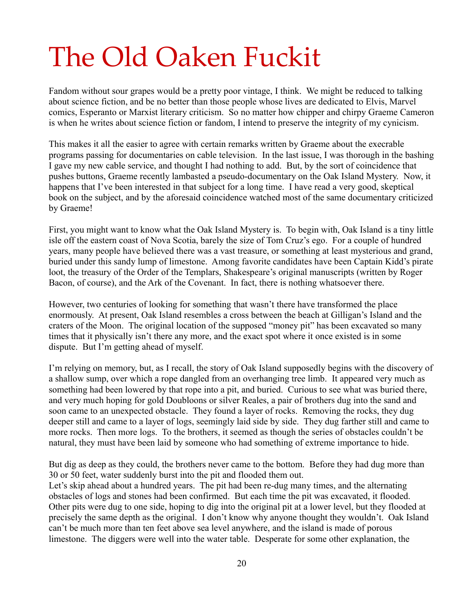# The Old Oaken Fuckit

Fandom without sour grapes would be a pretty poor vintage, I think. We might be reduced to talking about science fiction, and be no better than those people whose lives are dedicated to Elvis, Marvel comics, Esperanto or Marxist literary criticism. So no matter how chipper and chirpy Graeme Cameron is when he writes about science fiction or fandom, I intend to preserve the integrity of my cynicism.

This makes it all the easier to agree with certain remarks written by Graeme about the execrable programs passing for documentaries on cable television. In the last issue, I was thorough in the bashing I gave my new cable service, and thought I had nothing to add. But, by the sort of coincidence that pushes buttons, Graeme recently lambasted a pseudo-documentary on the Oak Island Mystery. Now, it happens that I've been interested in that subject for a long time. I have read a very good, skeptical book on the subject, and by the aforesaid coincidence watched most of the same documentary criticized by Graeme!

First, you might want to know what the Oak Island Mystery is. To begin with, Oak Island is a tiny little isle off the eastern coast of Nova Scotia, barely the size of Tom Cruz's ego. For a couple of hundred years, many people have believed there was a vast treasure, or something at least mysterious and grand, buried under this sandy lump of limestone. Among favorite candidates have been Captain Kidd's pirate loot, the treasury of the Order of the Templars, Shakespeare's original manuscripts (written by Roger Bacon, of course), and the Ark of the Covenant. In fact, there is nothing whatsoever there.

However, two centuries of looking for something that wasn't there have transformed the place enormously. At present, Oak Island resembles a cross between the beach at Gilligan's Island and the craters of the Moon. The original location of the supposed "money pit" has been excavated so many times that it physically isn't there any more, and the exact spot where it once existed is in some dispute. But I'm getting ahead of myself.

I'm relying on memory, but, as I recall, the story of Oak Island supposedly begins with the discovery of a shallow sump, over which a rope dangled from an overhanging tree limb. It appeared very much as something had been lowered by that rope into a pit, and buried. Curious to see what was buried there, and very much hoping for gold Doubloons or silver Reales, a pair of brothers dug into the sand and soon came to an unexpected obstacle. They found a layer of rocks. Removing the rocks, they dug deeper still and came to a layer of logs, seemingly laid side by side. They dug farther still and came to more rocks. Then more logs. To the brothers, it seemed as though the series of obstacles couldn't be natural, they must have been laid by someone who had something of extreme importance to hide.

But dig as deep as they could, the brothers never came to the bottom. Before they had dug more than 30 or 50 feet, water suddenly burst into the pit and flooded them out. Let's skip ahead about a hundred years. The pit had been re-dug many times, and the alternating obstacles of logs and stones had been confirmed. But each time the pit was excavated, it flooded. Other pits were dug to one side, hoping to dig into the original pit at a lower level, but they flooded at precisely the same depth as the original. I don't know why anyone thought they wouldn't. Oak Island can't be much more than ten feet above sea level anywhere, and the island is made of porous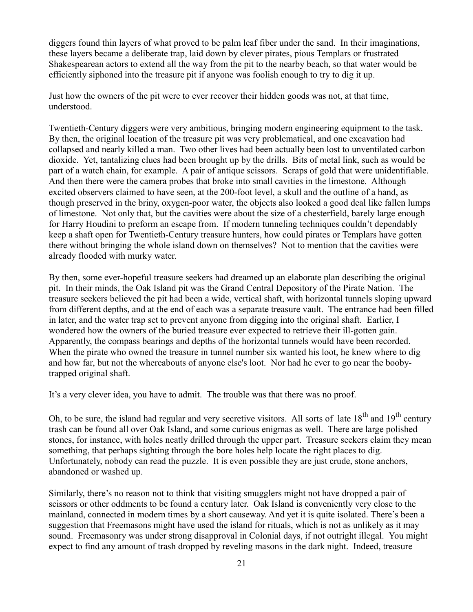diggers found thin layers of what proved to be palm leaf fiber under the sand. In their imaginations, these layers became a deliberate trap, laid down by clever pirates, pious Templars or frustrated Shakespearean actors to extend all the way from the pit to the nearby beach, so that water would be efficiently siphoned into the treasure pit if anyone was foolish enough to try to dig it up.

Just how the owners of the pit were to ever recover their hidden goods was not, at that time, understood.

Twentieth-Century diggers were very ambitious, bringing modern engineering equipment to the task. By then, the original location of the treasure pit was very problematical, and one excavation had collapsed and nearly killed a man. Two other lives had been actually been lost to unventilated carbon dioxide. Yet, tantalizing clues had been brought up by the drills. Bits of metal link, such as would be part of a watch chain, for example. A pair of antique scissors. Scraps of gold that were unidentifiable. And then there were the camera probes that broke into small cavities in the limestone. Although excited observers claimed to have seen, at the 200-foot level, a skull and the outline of a hand, as though preserved in the briny, oxygen-poor water, the objects also looked a good deal like fallen lumps of limestone. Not only that, but the cavities were about the size of a chesterfield, barely large enough for Harry Houdini to preform an escape from. If modern tunneling techniques couldn't dependably keep a shaft open for Twentieth-Century treasure hunters, how could pirates or Templars have gotten there without bringing the whole island down on themselves? Not to mention that the cavities were already flooded with murky water.

By then, some ever-hopeful treasure seekers had dreamed up an elaborate plan describing the original pit. In their minds, the Oak Island pit was the Grand Central Depository of the Pirate Nation. The treasure seekers believed the pit had been a wide, vertical shaft, with horizontal tunnels sloping upward from different depths, and at the end of each was a separate treasure vault. The entrance had been filled in later, and the water trap set to prevent anyone from digging into the original shaft. Earlier, I wondered how the owners of the buried treasure ever expected to retrieve their ill-gotten gain. Apparently, the compass bearings and depths of the horizontal tunnels would have been recorded. When the pirate who owned the treasure in tunnel number six wanted his loot, he knew where to dig and how far, but not the whereabouts of anyone else's loot. Nor had he ever to go near the boobytrapped original shaft.

It's a very clever idea, you have to admit. The trouble was that there was no proof.

Oh, to be sure, the island had regular and very secretive visitors. All sorts of late  $18<sup>th</sup>$  and  $19<sup>th</sup>$  century trash can be found all over Oak Island, and some curious enigmas as well. There are large polished stones, for instance, with holes neatly drilled through the upper part. Treasure seekers claim they mean something, that perhaps sighting through the bore holes help locate the right places to dig. Unfortunately, nobody can read the puzzle. It is even possible they are just crude, stone anchors, abandoned or washed up.

Similarly, there's no reason not to think that visiting smugglers might not have dropped a pair of scissors or other oddments to be found a century later. Oak Island is conveniently very close to the mainland, connected in modern times by a short causeway. And yet it is quite isolated. There's been a suggestion that Freemasons might have used the island for rituals, which is not as unlikely as it may sound. Freemasonry was under strong disapproval in Colonial days, if not outright illegal. You might expect to find any amount of trash dropped by reveling masons in the dark night. Indeed, treasure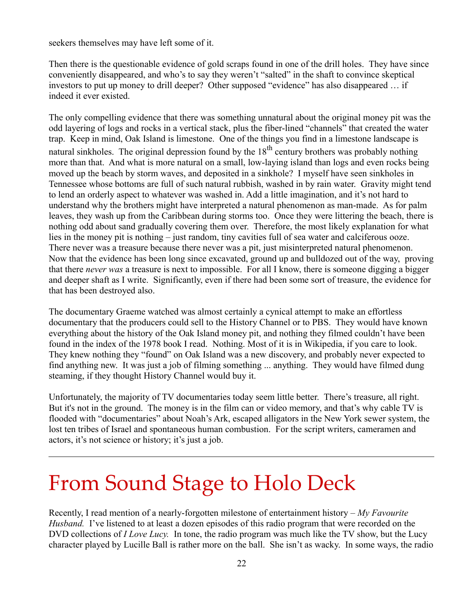seekers themselves may have left some of it.

Then there is the questionable evidence of gold scraps found in one of the drill holes. They have since conveniently disappeared, and who's to say they weren't "salted" in the shaft to convince skeptical investors to put up money to drill deeper? Other supposed "evidence" has also disappeared … if indeed it ever existed.

The only compelling evidence that there was something unnatural about the original money pit was the odd layering of logs and rocks in a vertical stack, plus the fiber-lined "channels" that created the water trap. Keep in mind, Oak Island is limestone. One of the things you find in a limestone landscape is natural sinkholes. The original depression found by the  $18<sup>th</sup>$  century brothers was probably nothing more than that. And what is more natural on a small, low-laying island than logs and even rocks being moved up the beach by storm waves, and deposited in a sinkhole? I myself have seen sinkholes in Tennessee whose bottoms are full of such natural rubbish, washed in by rain water. Gravity might tend to lend an orderly aspect to whatever was washed in. Add a little imagination, and it's not hard to understand why the brothers might have interpreted a natural phenomenon as man-made. As for palm leaves, they wash up from the Caribbean during storms too. Once they were littering the beach, there is nothing odd about sand gradually covering them over. Therefore, the most likely explanation for what lies in the money pit is nothing – just random, tiny cavities full of sea water and calciferous ooze. There never was a treasure because there never was a pit, just misinterpreted natural phenomenon. Now that the evidence has been long since excavated, ground up and bulldozed out of the way, proving that there *never was* a treasure is next to impossible. For all I know, there is someone digging a bigger and deeper shaft as I write. Significantly, even if there had been some sort of treasure, the evidence for that has been destroyed also.

The documentary Graeme watched was almost certainly a cynical attempt to make an effortless documentary that the producers could sell to the History Channel or to PBS. They would have known everything about the history of the Oak Island money pit, and nothing they filmed couldn't have been found in the index of the 1978 book I read. Nothing. Most of it is in Wikipedia, if you care to look. They knew nothing they "found" on Oak Island was a new discovery, and probably never expected to find anything new. It was just a job of filming something ... anything. They would have filmed dung steaming, if they thought History Channel would buy it.

Unfortunately, the majority of TV documentaries today seem little better. There's treasure, all right. But it's not in the ground. The money is in the film can or video memory, and that's why cable TV is flooded with "documentaries" about Noah's Ark, escaped alligators in the New York sewer system, the lost ten tribes of Israel and spontaneous human combustion. For the script writers, cameramen and actors, it's not science or history; it's just a job.

### From Sound Stage to Holo Deck

Recently, I read mention of a nearly-forgotten milestone of entertainment history – *My Favourite Husband.* I've listened to at least a dozen episodes of this radio program that were recorded on the DVD collections of *I Love Lucy*. In tone, the radio program was much like the TV show, but the Lucy character played by Lucille Ball is rather more on the ball. She isn't as wacky. In some ways, the radio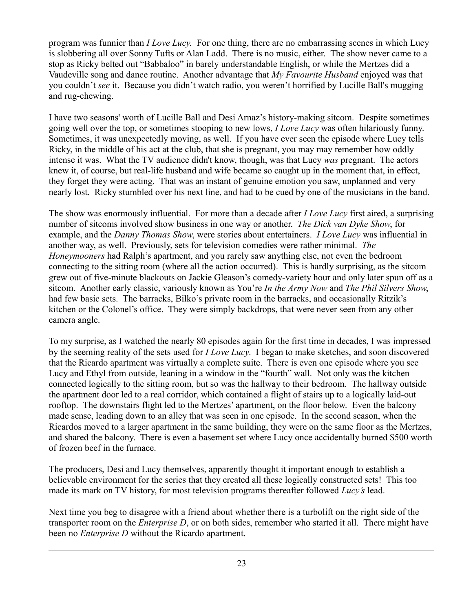program was funnier than *I Love Lucy.* For one thing, there are no embarrassing scenes in which Lucy is slobbering all over Sonny Tufts or Alan Ladd. There is no music, either. The show never came to a stop as Ricky belted out "Babbaloo" in barely understandable English, or while the Mertzes did a Vaudeville song and dance routine. Another advantage that *My Favourite Husband* enjoyed was that you couldn't *see* it. Because you didn't watch radio, you weren't horrified by Lucille Ball's mugging and rug-chewing.

I have two seasons' worth of Lucille Ball and Desi Arnaz's history-making sitcom. Despite sometimes going well over the top, or sometimes stooping to new lows, *I Love Lucy* was often hilariously funny. Sometimes, it was unexpectedly moving, as well. If you have ever seen the episode where Lucy tells Ricky, in the middle of his act at the club, that she is pregnant, you may may remember how oddly intense it was. What the TV audience didn't know, though, was that Lucy *was* pregnant. The actors knew it, of course, but real-life husband and wife became so caught up in the moment that, in effect, they forget they were acting. That was an instant of genuine emotion you saw, unplanned and very nearly lost. Ricky stumbled over his next line, and had to be cued by one of the musicians in the band.

The show was enormously influential. For more than a decade after *I Love Lucy* first aired, a surprising number of sitcoms involved show business in one way or another. *The Dick van Dyke Show*, for example, and the *Danny Thomas Show*, were stories about entertainers. *I Love Lucy* was influential in another way, as well. Previously, sets for television comedies were rather minimal. *The Honeymooners* had Ralph's apartment, and you rarely saw anything else, not even the bedroom connecting to the sitting room (where all the action occurred). This is hardly surprising, as the sitcom grew out of five-minute blackouts on Jackie Gleason's comedy-variety hour and only later spun off as a sitcom. Another early classic, variously known as You're *In the Army Now* and *The Phil Silvers Show*, had few basic sets. The barracks, Bilko's private room in the barracks, and occasionally Ritzik's kitchen or the Colonel's office. They were simply backdrops, that were never seen from any other camera angle.

To my surprise, as I watched the nearly 80 episodes again for the first time in decades, I was impressed by the seeming reality of the sets used for *I Love Lucy*. I began to make sketches, and soon discovered that the Ricardo apartment was virtually a complete suite. There is even one episode where you see Lucy and Ethyl from outside, leaning in a window in the "fourth" wall. Not only was the kitchen connected logically to the sitting room, but so was the hallway to their bedroom. The hallway outside the apartment door led to a real corridor, which contained a flight of stairs up to a logically laid-out rooftop. The downstairs flight led to the Mertzes' apartment, on the floor below. Even the balcony made sense, leading down to an alley that was seen in one episode. In the second season, when the Ricardos moved to a larger apartment in the same building, they were on the same floor as the Mertzes, and shared the balcony. There is even a basement set where Lucy once accidentally burned \$500 worth of frozen beef in the furnace.

The producers, Desi and Lucy themselves, apparently thought it important enough to establish a believable environment for the series that they created all these logically constructed sets! This too made its mark on TV history, for most television programs thereafter followed *Lucy's* lead.

Next time you beg to disagree with a friend about whether there is a turbolift on the right side of the transporter room on the *Enterprise D*, or on both sides, remember who started it all. There might have been no *Enterprise D* without the Ricardo apartment.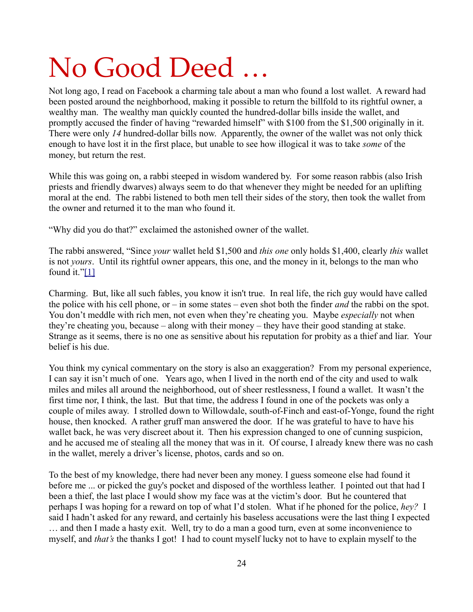## No Good Deed …

Not long ago, I read on Facebook a charming tale about a man who found a lost wallet. A reward had been posted around the neighborhood, making it possible to return the billfold to its rightful owner, a wealthy man. The wealthy man quickly counted the hundred-dollar bills inside the wallet, and promptly accused the finder of having "rewarded himself" with \$100 from the \$1,500 originally in it. There were only *14* hundred-dollar bills now. Apparently, the owner of the wallet was not only thick enough to have lost it in the first place, but unable to see how illogical it was to take *some* of the money, but return the rest.

While this was going on, a rabbi steeped in wisdom wandered by. For some reason rabbis (also Irish priests and friendly dwarves) always seem to do that whenever they might be needed for an uplifting moral at the end. The rabbi listened to both men tell their sides of the story, then took the wallet from the owner and returned it to the man who found it.

"Why did you do that?" exclaimed the astonished owner of the wallet.

<span id="page-23-0"></span>The rabbi answered, "Since *your* wallet held \$1,500 and *this one* only holds \$1,400, clearly *this* wallet is not *yours*. Until its rightful owner appears, this one, and the money in it, belongs to the man who found it.["\[1\]](#page-23-0)

Charming. But, like all such fables, you know it isn't true. In real life, the rich guy would have called the police with his cell phone, or – in some states – even shot both the finder *and* the rabbi on the spot. You don't meddle with rich men, not even when they're cheating you. Maybe *especially* not when they're cheating you, because – along with their money – they have their good standing at stake. Strange as it seems, there is no one as sensitive about his reputation for probity as a thief and liar. Your belief is his due.

You think my cynical commentary on the story is also an exaggeration? From my personal experience, I can say it isn't much of one. Years ago, when I lived in the north end of the city and used to walk miles and miles all around the neighborhood, out of sheer restlessness, I found a wallet. It wasn't the first time nor, I think, the last. But that time, the address I found in one of the pockets was only a couple of miles away. I strolled down to Willowdale, south-of-Finch and east-of-Yonge, found the right house, then knocked. A rather gruff man answered the door. If he was grateful to have to have his wallet back, he was very discreet about it. Then his expression changed to one of cunning suspicion, and he accused me of stealing all the money that was in it. Of course, I already knew there was no cash in the wallet, merely a driver's license, photos, cards and so on.

To the best of my knowledge, there had never been any money. I guess someone else had found it before me ... or picked the guy's pocket and disposed of the worthless leather. I pointed out that had I been a thief, the last place I would show my face was at the victim's door. But he countered that perhaps I was hoping for a reward on top of what I'd stolen. What if he phoned for the police, *hey?* I said I hadn't asked for any reward, and certainly his baseless accusations were the last thing I expected … and then I made a hasty exit. Well, try to do a man a good turn, even at some inconvenience to myself, and *that's* the thanks I got! I had to count myself lucky not to have to explain myself to the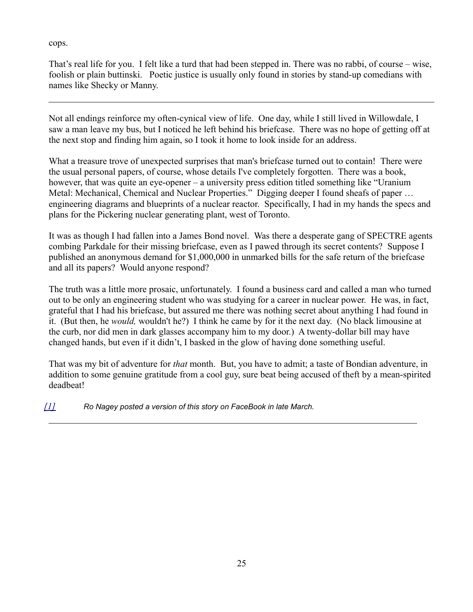cops.

That's real life for you. I felt like a turd that had been stepped in. There was no rabbi, of course – wise, foolish or plain buttinski. Poetic justice is usually only found in stories by stand-up comedians with names like Shecky or Manny.

Not all endings reinforce my often-cynical view of life. One day, while I still lived in Willowdale, I saw a man leave my bus, but I noticed he left behind his briefcase. There was no hope of getting off at the next stop and finding him again, so I took it home to look inside for an address.

What a treasure trove of unexpected surprises that man's briefcase turned out to contain! There were the usual personal papers, of course, whose details I've completely forgotten. There was a book, however, that was quite an eye-opener – a university press edition titled something like "Uranium" Metal: Mechanical, Chemical and Nuclear Properties." Digging deeper I found sheafs of paper … engineering diagrams and blueprints of a nuclear reactor. Specifically, I had in my hands the specs and plans for the Pickering nuclear generating plant, west of Toronto.

It was as though I had fallen into a James Bond novel. Was there a desperate gang of SPECTRE agents combing Parkdale for their missing briefcase, even as I pawed through its secret contents? Suppose I published an anonymous demand for \$1,000,000 in unmarked bills for the safe return of the briefcase and all its papers? Would anyone respond?

The truth was a little more prosaic, unfortunately. I found a business card and called a man who turned out to be only an engineering student who was studying for a career in nuclear power. He was, in fact, grateful that I had his briefcase, but assured me there was nothing secret about anything I had found in it. (But then, he *would,* wouldn't he?) I think he came by for it the next day. (No black limousine at the curb, nor did men in dark glasses accompany him to my door.) A twenty-dollar bill may have changed hands, but even if it didn't, I basked in the glow of having done something useful.

That was my bit of adventure for *that* month. But, you have to admit; a taste of Bondian adventure, in addition to some genuine gratitude from a cool guy, sure beat being accused of theft by a mean-spirited deadbeat!

<span id="page-24-0"></span>*[\[1\]](#page-24-0) Ro Nagey posted a version of this story on FaceBook in late March.*